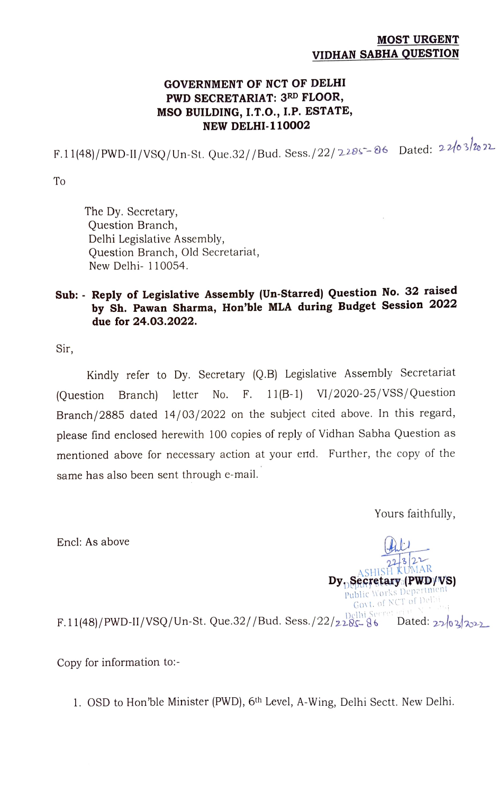## MOST URGENT VIDHAN SABHA QUESTION

## GOVERNMENT OF NCT OF DELHI PWD SECRETARIAT: 3RD FLOOR, MSO BUILDING, I.T.0., I.P. ESTATE, NEW DELHI-110002

F.11(48)/PWD-II/VSQ/Un-St. Que.32//Bud. Sess./22/2205-06 Dated:  $22/03/222$ 

To

The Dy. Secretary, Question Branch, Delhi Legislative Assembly, Question Branch, Old Secretariat, New Delhi- 110054.

## Sub: Reply of Legislative Assembly (Un-Starred) Question No. 32 raised by Sh. Pawan Sharma, Hon'ble MLA during Budget Session 2022 due for 24.03.2022.

Sir,

Kindly refer to Dy. Secretary (Q.B) Legislative Assembly Secretariat (Question Branch) letter No. F. 11(B-1) VI/2020-25/VSS/Question Branch/2885 dated 14/03/2022 on the subject cited above. In this regard, please find enclosed herewith 100 copies of reply of Vidhan Sabha Question as mentioned above for necessary action at your emd. Further, the copy of the same has also been sent through e-mail.

Yours faithfully,

Encl: As above

 $\sqrt{2^2\sqrt{3}}$ <br> $\sqrt{\frac{2^2}{\text{WUMAR}}}$ Dy Becretary (PWD/VS) Govt. ol NCT of Delhi

 $F.11(48)/PWD-II/VSQ/Un-St. Que.32//Bud. Sess./22/2285-86$  Dated: 22/02/2022

Copy for information to:-

1. OSD to Hon'ble Minister (PWD), 6th Level, A-Wing, Delhi Sectt. New Delhi.